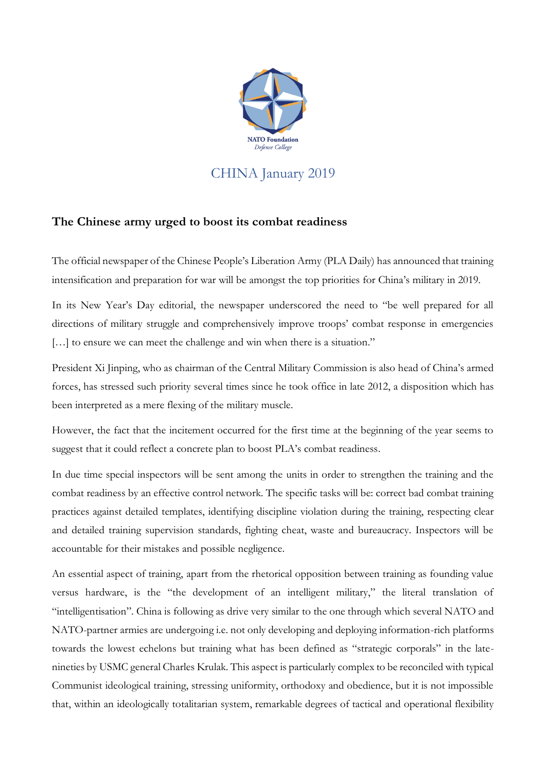

CHINA January 2019

## **The Chinese army urged to boost its combat readiness**

The official newspaper of the Chinese People's Liberation Army (PLA Daily) has announced that training intensification and preparation for war will be amongst the top priorities for China's military in 2019.

In its New Year's Day editorial, the newspaper underscored the need to "be well prepared for all directions of military struggle and comprehensively improve troops' combat response in emergencies [...] to ensure we can meet the challenge and win when there is a situation."

President Xi Jinping, who as chairman of the Central Military Commission is also head of China's armed forces, has stressed such priority several times since he took office in late 2012, a disposition which has been interpreted as a mere flexing of the military muscle.

However, the fact that the incitement occurred for the first time at the beginning of the year seems to suggest that it could reflect a concrete plan to boost PLA's combat readiness.

In due time special inspectors will be sent among the units in order to strengthen the training and the combat readiness by an effective control network. The specific tasks will be: correct bad combat training practices against detailed templates, identifying discipline violation during the training, respecting clear and detailed training supervision standards, fighting cheat, waste and bureaucracy. Inspectors will be accountable for their mistakes and possible negligence.

An essential aspect of training, apart from the rhetorical opposition between training as founding value versus hardware, is the "the development of an intelligent military," the literal translation of "intelligentisation". China is following as drive very similar to the one through which several NATO and NATO-partner armies are undergoing i.e. not only developing and deploying information-rich platforms towards the lowest echelons but training what has been defined as "strategic corporals" in the latenineties by USMC general Charles Krulak. This aspect is particularly complex to be reconciled with typical Communist ideological training, stressing uniformity, orthodoxy and obedience, but it is not impossible that, within an ideologically totalitarian system, remarkable degrees of tactical and operational flexibility